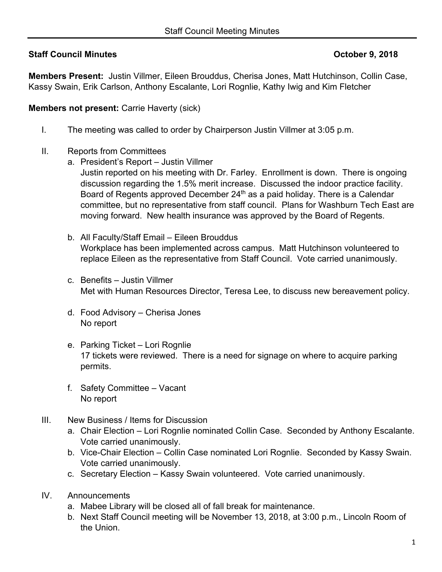## **Staff Council Minutes Council Minutes Council Minutes Council Minutes Council Minutes Council Minutes Council Minutes Council Minutes Council Minutes Council Minutes Council Minutes Council Minutes Council Minutes Council**

**Members Present:** Justin Villmer, Eileen Brouddus, Cherisa Jones, Matt Hutchinson, Collin Case, Kassy Swain, Erik Carlson, Anthony Escalante, Lori Rognlie, Kathy Iwig and Kim Fletcher

**Members not present: Carrie Haverty (sick)** 

- I. The meeting was called to order by Chairperson Justin Villmer at 3:05 p.m.
- II. Reports from Committees
	- a. President's Report Justin Villmer
		- Justin reported on his meeting with Dr. Farley. Enrollment is down. There is ongoing discussion regarding the 1.5% merit increase. Discussed the indoor practice facility. Board of Regents approved December 24<sup>th</sup> as a paid holiday. There is a Calendar committee, but no representative from staff council. Plans for Washburn Tech East are moving forward. New health insurance was approved by the Board of Regents.
		- b. All Faculty/Staff Email Eileen Brouddus Workplace has been implemented across campus. Matt Hutchinson volunteered to replace Eileen as the representative from Staff Council. Vote carried unanimously.
		- c. Benefits Justin Villmer Met with Human Resources Director, Teresa Lee, to discuss new bereavement policy.
		- d. Food Advisory Cherisa Jones No report
		- e. Parking Ticket Lori Rognlie 17 tickets were reviewed. There is a need for signage on where to acquire parking permits.
		- f. Safety Committee Vacant No report
- III. New Business / Items for Discussion
	- a. Chair Election Lori Rognlie nominated Collin Case. Seconded by Anthony Escalante. Vote carried unanimously.
	- b. Vice-Chair Election Collin Case nominated Lori Rognlie. Seconded by Kassy Swain. Vote carried unanimously.
	- c. Secretary Election Kassy Swain volunteered. Vote carried unanimously.
- IV. Announcements
	- a. Mabee Library will be closed all of fall break for maintenance.
	- b. Next Staff Council meeting will be November 13, 2018, at 3:00 p.m., Lincoln Room of the Union.